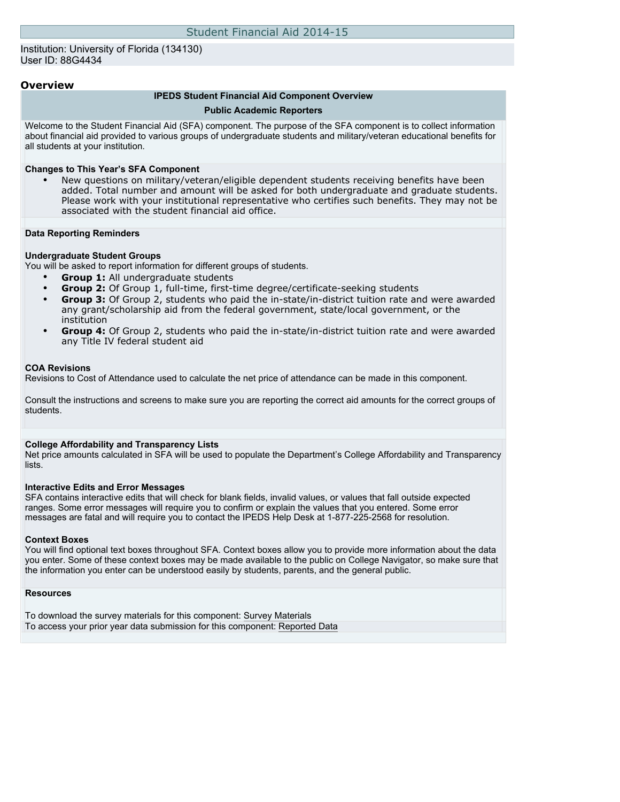### Institution: University of Florida (134130) User ID: 88G4434

## **Overview**

#### **IPEDS Student Financial Aid Component Overview**

#### **Public Academic Reporters**

Welcome to the Student Financial Aid (SFA) component. The purpose of the SFA component is to collect information about financial aid provided to various groups of undergraduate students and military/veteran educational benefits for all students at your institution.

#### **Changes to This Year's SFA Component**

• New questions on military/veteran/eligible dependent students receiving benefits have been added. Total number and amount will be asked for both undergraduate and graduate students. Please work with your institutional representative who certifies such benefits. They may not be associated with the student financial aid office.

#### **Data Reporting Reminders**

#### **Undergraduate Student Groups**

You will be asked to report information for different groups of students.

- **Group 1:** All undergraduate students
- **Group 2:** Of Group 1, full-time, first-time degree/certificate-seeking students
- **Group 3:** Of Group 2, students who paid the in-state/in-district tuition rate and were awarded any grant/scholarship aid from the federal government, state/local government, or the institution
- **Group 4:** Of Group 2, students who paid the in-state/in-district tuition rate and were awarded any Title IV federal student aid

#### **COA Revisions**

Revisions to Cost of Attendance used to calculate the net price of attendance can be made in this component.

Consult the instructions and screens to make sure you are reporting the correct aid amounts for the correct groups of students.

#### **College Affordability and Transparency Lists**

Net price amounts calculated in SFA will be used to populate the Department's College Affordability and Transparency lists.

#### **Interactive Edits and Error Messages**

SFA contains interactive edits that will check for blank fields, invalid values, or values that fall outside expected ranges. Some error messages will require you to confirm or explain the values that you entered. Some error messages are fatal and will require you to contact the IPEDS Help Desk at 1-877-225-2568 for resolution.

#### **Context Boxes**

You will find optional text boxes throughout SFA. Context boxes allow you to provide more information about the data you enter. Some of these context boxes may be made available to the public on College Navigator, so make sure that the information you enter can be understood easily by students, parents, and the general public.

#### **Resources**

To download the survey materials for this component: [Survey Materials](https://surveys.nces.ed.gov/ipeds/VisIndex.aspx) To access your prior year data submission for this component: [Reported Data](https://surveys.nces.ed.gov/IPEDS/PriorYearDataRedirect.aspx?survey_id=7)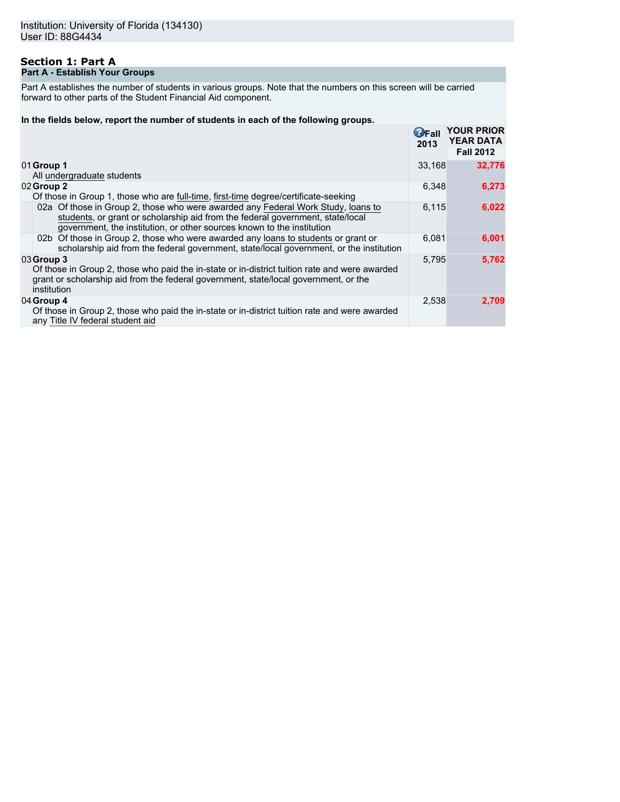## **Section 1: Part A Part A - Establish Your Groups**

Part A establishes the number of students in various groups. Note that the numbers on this screen will be carried forward to other parts of the Student Financial Aid component.

### **In the fields below, report the number of students in each of the following groups.**

|                                                                                                                                                                                                                                              | $\mathbf{G}$ Fall<br>2013 | <b>YOUR PRIOR</b><br><b>YEAR DATA</b><br><b>Fall 2012</b> |
|----------------------------------------------------------------------------------------------------------------------------------------------------------------------------------------------------------------------------------------------|---------------------------|-----------------------------------------------------------|
| 01 Group 1<br>All undergraduate students                                                                                                                                                                                                     | 33.168                    | 32,776                                                    |
| 02 Group 2<br>Of those in Group 1, those who are full-time, first-time degree/certificate-seeking                                                                                                                                            | 6,348                     | 6,273                                                     |
| 02a Of those in Group 2, those who were awarded any Federal Work Study, loans to<br>students, or grant or scholarship aid from the federal government, state/local<br>government, the institution, or other sources known to the institution | 6,115                     | 6,022                                                     |
| 02b Of those in Group 2, those who were awarded any loans to students or grant or<br>scholarship aid from the federal government, state/local government, or the institution                                                                 | 6.081                     | 6,001                                                     |
| 03 Group 3<br>Of those in Group 2, those who paid the in-state or in-district tuition rate and were awarded<br>grant or scholarship aid from the federal government, state/local government, or the<br>institution                           | 5.795                     | 5,762                                                     |
| 04 Group 4<br>Of those in Group 2, those who paid the in-state or in-district tuition rate and were awarded<br>any Title IV federal student aid                                                                                              | 2,538                     | 2,709                                                     |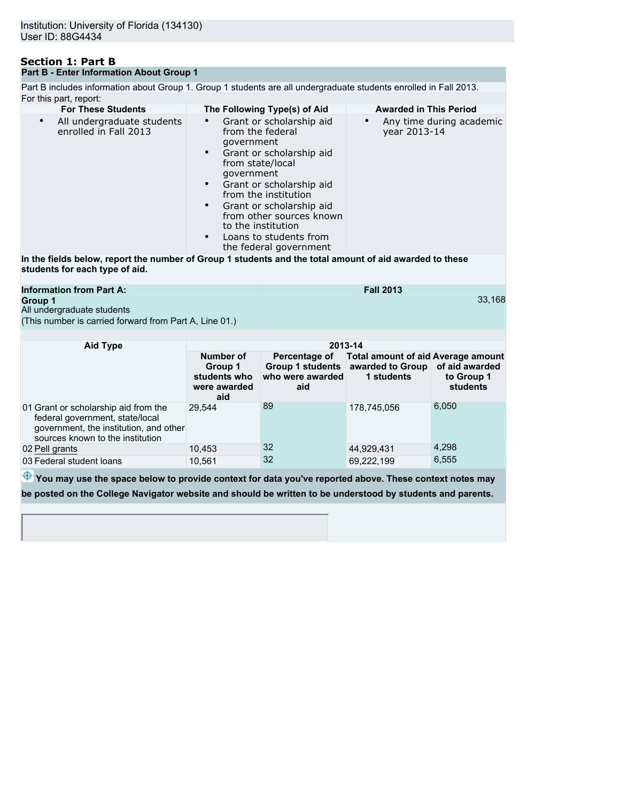## **Section 1: Part B Part B - Enter Information About Group 1**

Part B includes information about Group 1. Group 1 students are all undergraduate students enrolled in Fall 2013. For this part, report:

| <b>For These Students</b>                                        | The Following Type(s) of Aid                                                                                                                                                                                                                                                                                                                                       | <b>Awarded in This Period</b>            |
|------------------------------------------------------------------|--------------------------------------------------------------------------------------------------------------------------------------------------------------------------------------------------------------------------------------------------------------------------------------------------------------------------------------------------------------------|------------------------------------------|
| All undergraduate students<br>$\bullet$<br>enrolled in Fall 2013 | Grant or scholarship aid<br>from the federal<br>government<br>Grant or scholarship aid<br>$\bullet$<br>from state/local<br>government<br>Grant or scholarship aid<br>$\bullet$<br>from the institution<br>Grant or scholarship aid<br>$\bullet$<br>from other sources known<br>to the institution<br>Loans to students from<br>$\bullet$<br>the federal government | Any time during academic<br>year 2013-14 |
|                                                                  | In the fields helow, report the number of Group 1 students and the total amount of aid awarded to these                                                                                                                                                                                                                                                            |                                          |

**In the fields below, report the number of Group 1 students and the total amount of aid awarded to these students for each type of aid.**

| <b>Information from Part A:</b>                        | <b>Fall 2013</b> |
|--------------------------------------------------------|------------------|
| Group 1                                                | 33.7             |
| All undergraduate students                             |                  |
| (This number is carried forward from Part A, Line 01.) |                  |

33,168

| Aid Type                                                                                                                                              | 2013-14                                                     |                                          |                                                                                                                 |                               |  |
|-------------------------------------------------------------------------------------------------------------------------------------------------------|-------------------------------------------------------------|------------------------------------------|-----------------------------------------------------------------------------------------------------------------|-------------------------------|--|
|                                                                                                                                                       | Number of<br>Group 1<br>students who<br>were awarded<br>aid | Percentage of<br>who were awarded<br>aid | <b>Total amount of aid Average amount</b><br>Group 1 students   awarded to Group   of aid awarded<br>1 students | to Group 1<br><b>students</b> |  |
| 01 Grant or scholarship aid from the<br>federal government, state/local<br>government, the institution, and other<br>sources known to the institution | 29.544                                                      | 89                                       | 178,745,056                                                                                                     | 6,050                         |  |
| 02 Pell grants                                                                                                                                        | 10,453                                                      | 32                                       | 44,929,431                                                                                                      | 4,298                         |  |
| 03 Federal student loans                                                                                                                              | 10,561                                                      | 32                                       | 69,222,199                                                                                                      | 6,555                         |  |

 $\overline{\Phi}$  You may use the space below to provide context for data you've reported above. These context notes may **be posted on the College Navigator website and should be written to be understood by students and parents.**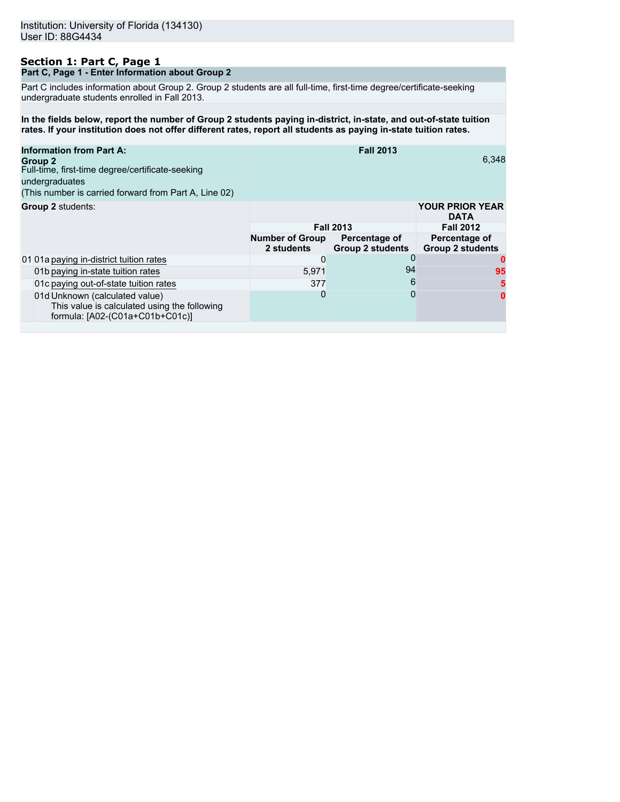## **Section 1: Part C, Page 1 Part C, Page 1 - Enter Information about Group 2**

Part C includes information about Group 2. Group 2 students are all full-time, first-time degree/certificate-seeking undergraduate students enrolled in Fall 2013.

**In the fields below, report the number of Group 2 students paying in-district, in-state, and out-of-state tuition rates. If your institution does not offer different rates, report all students as paying in-state tuition rates.**

| <b>Information from Part A:</b><br>Group 2<br>Full-time, first-time degree/certificate-seeking<br>undergraduates<br>(This number is carried forward from Part A, Line 02) |                                      | <b>Fall 2013</b>                         | 6.348                                    |
|---------------------------------------------------------------------------------------------------------------------------------------------------------------------------|--------------------------------------|------------------------------------------|------------------------------------------|
| Group 2 students:                                                                                                                                                         |                                      |                                          | <b>YOUR PRIOR YEAR</b><br><b>DATA</b>    |
|                                                                                                                                                                           |                                      | <b>Fall 2013</b>                         | <b>Fall 2012</b>                         |
|                                                                                                                                                                           | <b>Number of Group</b><br>2 students | Percentage of<br><b>Group 2 students</b> | Percentage of<br><b>Group 2 students</b> |
| 01 01a paying in-district tuition rates                                                                                                                                   | 0                                    | 0                                        | o                                        |
| 01b paying in-state tuition rates                                                                                                                                         | 5.971                                | 94                                       | 95                                       |
| 01c paying out-of-state tuition rates                                                                                                                                     | 377                                  | 6                                        | 5                                        |
| 01d Unknown (calculated value)<br>This value is calculated using the following<br>formula: [A02-(C01a+C01b+C01c)]                                                         | 0                                    | 0                                        | 0                                        |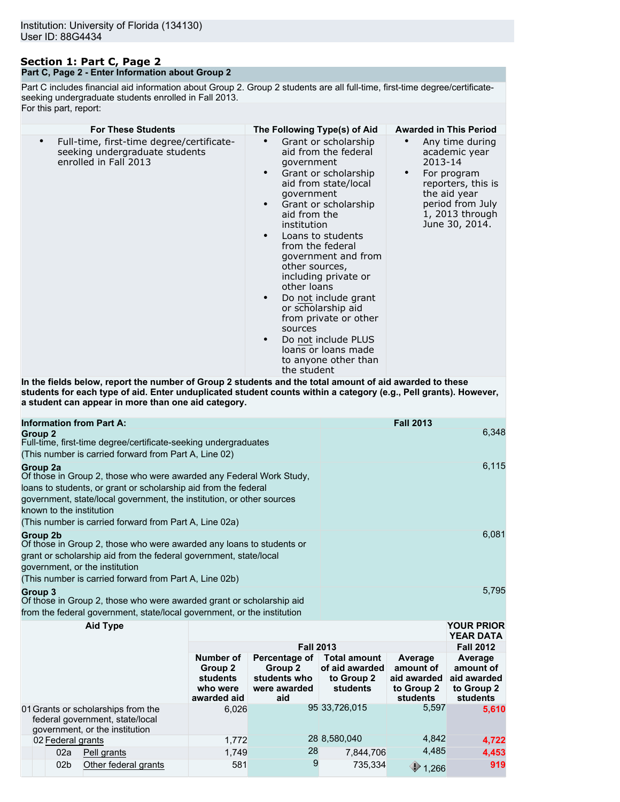## **Section 1: Part C, Page 2 Part C, Page 2 - Enter Information about Group 2**

Part C includes financial aid information about Group 2. Group 2 students are all full-time, first-time degree/certificateseeking undergraduate students enrolled in Fall 2013. For this part, report:

|                                                                                                                                                                                                                                                                                                                                                                                                                                                                                         |  |                                                                                                                                                                                                                                                                                                                                       | <b>Awarded in This Period</b>                                                     |                                                                                                |
|-----------------------------------------------------------------------------------------------------------------------------------------------------------------------------------------------------------------------------------------------------------------------------------------------------------------------------------------------------------------------------------------------------------------------------------------------------------------------------------------|--|---------------------------------------------------------------------------------------------------------------------------------------------------------------------------------------------------------------------------------------------------------------------------------------------------------------------------------------|-----------------------------------------------------------------------------------|------------------------------------------------------------------------------------------------|
| <b>For These Students</b><br>The Following Type(s) of Aid<br>Full-time, first-time degree/certificate-<br>$\bullet$<br>$\bullet$<br>seeking undergraduate students<br>enrolled in Fall 2013<br>qovernment<br>$\bullet$<br>government<br>$\bullet$<br>aid from the<br>institution<br>$\bullet$<br>from the federal<br>other sources,<br>other loans<br>sources<br>the student<br>In the fields below, report the number of Group 2 students and the total amount of aid awarded to these |  | Grant or scholarship<br>aid from the federal<br>Grant or scholarship<br>aid from state/local<br>Grant or scholarship<br>Loans to students<br>government and from<br>including private or<br>Do not include grant<br>or scholarship aid<br>from private or other<br>Do not include PLUS<br>loans or loans made<br>to anyone other than | $\bullet$<br>academic year<br>2013-14<br>For program<br>$\bullet$<br>the aid year | Any time during<br>reporters, this is<br>period from July<br>1, 2013 through<br>June 30, 2014. |
| students for each type of aid. Enter unduplicated student counts within a category (e.g., Pell grants). However,<br>a student can appear in more than one aid category.                                                                                                                                                                                                                                                                                                                 |  |                                                                                                                                                                                                                                                                                                                                       |                                                                                   |                                                                                                |
| <b>Information from Part A:</b>                                                                                                                                                                                                                                                                                                                                                                                                                                                         |  |                                                                                                                                                                                                                                                                                                                                       | <b>Fall 2013</b>                                                                  |                                                                                                |
| <b>Group 2</b><br>Full-time, first-time degree/certificate-seeking undergraduates<br>(This number is carried forward from Part A, Line 02)                                                                                                                                                                                                                                                                                                                                              |  |                                                                                                                                                                                                                                                                                                                                       |                                                                                   | 6,348                                                                                          |
| Group 2a<br>Of those in Group 2, those who were awarded any Federal Work Study,<br>loans to students, or grant or scholarship aid from the federal<br>government, state/local government, the institution, or other sources<br>known to the institution<br>(This number is carried forward from Part A, Line 02a)                                                                                                                                                                       |  |                                                                                                                                                                                                                                                                                                                                       |                                                                                   | 6,115                                                                                          |
| Group 2b                                                                                                                                                                                                                                                                                                                                                                                                                                                                                |  |                                                                                                                                                                                                                                                                                                                                       |                                                                                   | 6,081                                                                                          |
| Of those in Group 2, those who were awarded any loans to students or<br>grant or scholarship aid from the federal government, state/local<br>government, or the institution<br>(This number is carried forward from Part A, Line 02b)                                                                                                                                                                                                                                                   |  |                                                                                                                                                                                                                                                                                                                                       |                                                                                   |                                                                                                |
| <b>Group 3</b><br>Of those in Group 2, those who were awarded grant or scholarship aid<br>from the federal government, state/local government, or the institution                                                                                                                                                                                                                                                                                                                       |  |                                                                                                                                                                                                                                                                                                                                       |                                                                                   | 5,795                                                                                          |

| <b>Aid Type</b> |                                                                                                         |                                                                    |                                                                 |                                                                 |                                                               | <b>YOUR PRIOR</b><br><b>YEAR DATA</b>                         |
|-----------------|---------------------------------------------------------------------------------------------------------|--------------------------------------------------------------------|-----------------------------------------------------------------|-----------------------------------------------------------------|---------------------------------------------------------------|---------------------------------------------------------------|
|                 |                                                                                                         | <b>Fall 2013</b>                                                   |                                                                 |                                                                 |                                                               | <b>Fall 2012</b>                                              |
|                 |                                                                                                         | Number of<br>Group 2<br><b>students</b><br>who were<br>awarded aid | Percentage of<br>Group 2<br>students who<br>were awarded<br>aid | <b>Total amount</b><br>of aid awarded<br>to Group 2<br>students | Average<br>amount of<br>aid awarded<br>to Group 2<br>students | Average<br>amount of<br>aid awarded<br>to Group 2<br>students |
|                 | 01 Grants or scholarships from the<br>federal government, state/local<br>government, or the institution | 6.026                                                              |                                                                 | 95 33,726,015                                                   | 5,597                                                         | 5,610                                                         |
|                 | 02 Federal grants                                                                                       | 1,772                                                              |                                                                 | 28 8,580,040                                                    | 4,842                                                         | 4,722                                                         |
|                 | 02a<br>Pell grants                                                                                      | 1,749                                                              | 28                                                              | 7,844,706                                                       | 4,485                                                         | 4,453                                                         |
|                 | 02 <sub>b</sub><br>Other federal grants                                                                 | 581                                                                | 9                                                               | 735,334                                                         | ⊕<br>1,266                                                    | 919                                                           |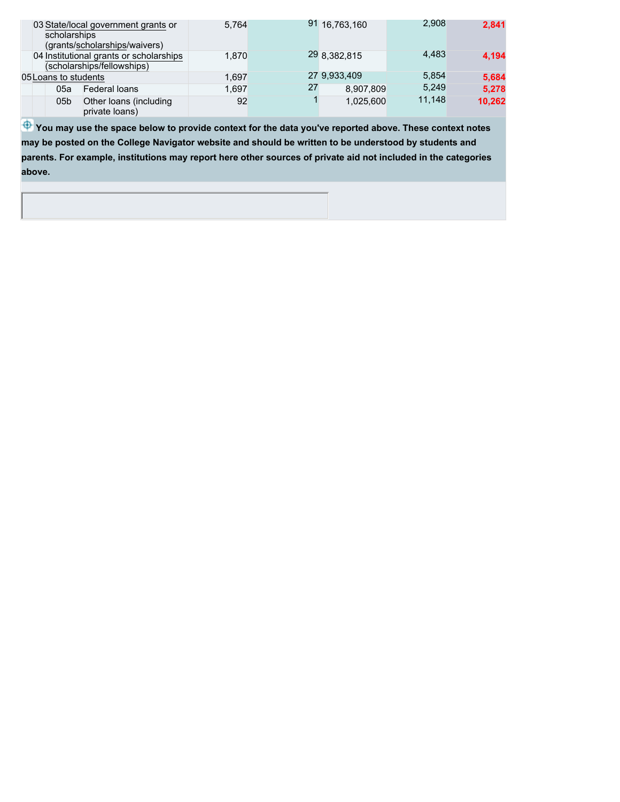| scholarships         | 03 State/local government grants or<br>(grants/scholarships/waivers)  | 5.764 |    | 91 16,763,160 | 2.908  | 2,841  |
|----------------------|-----------------------------------------------------------------------|-------|----|---------------|--------|--------|
|                      | 04 Institutional grants or scholarships<br>(scholarships/fellowships) | 1.870 |    | 29 8,382,815  | 4.483  | 4,194  |
| 05 Loans to students |                                                                       | 1.697 |    | 27 9,933,409  | 5.854  | 5,684  |
| 05a                  | Federal loans                                                         | 1.697 | 27 | 8,907,809     | 5.249  | 5,278  |
| 05 <sub>b</sub>      | Other loans (including<br>private loans)                              | 92    |    | 1.025.600     | 11.148 | 10,262 |

 $\bigoplus$  **You may use the space below to provide context for the data you've reported above. These context notes may be posted on the College Navigator website and should be written to be understood by students and parents. For example, institutions may report here other sources of private aid not included in the categories above.**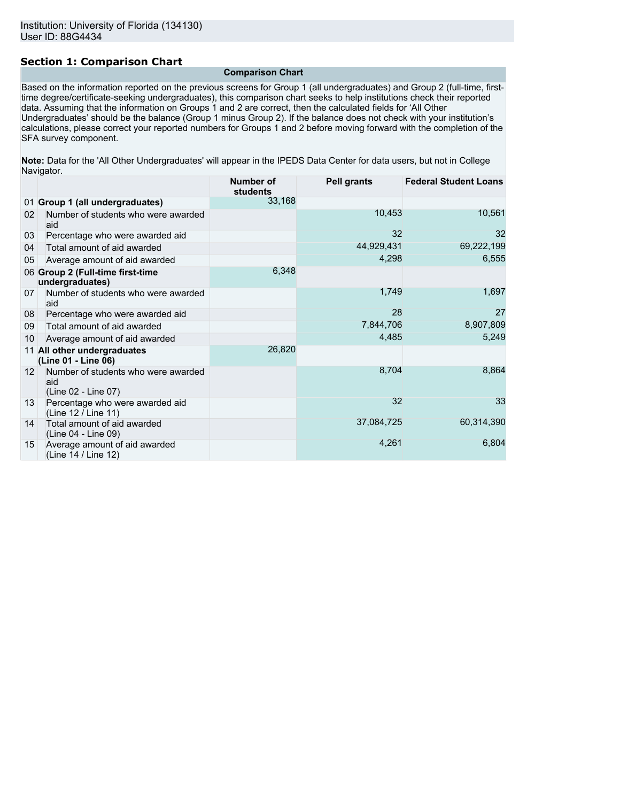# **Section 1: Comparison Chart**

**Comparison Chart**

Based on the information reported on the previous screens for Group 1 (all undergraduates) and Group 2 (full-time, firsttime degree/certificate-seeking undergraduates), this comparison chart seeks to help institutions check their reported data. Assuming that the information on Groups 1 and 2 are correct, then the calculated fields for 'All Other Undergraduates' should be the balance (Group 1 minus Group 2). If the balance does not check with your institution's calculations, please correct your reported numbers for Groups 1 and 2 before moving forward with the completion of the SFA survey component.

**Note:** Data for the 'All Other Undergraduates' will appear in the IPEDS Data Center for data users, but not in College Navigator.

|                 |                                                                   | <b>Number of</b><br>students | <b>Pell grants</b> | <b>Federal Student Loans</b> |
|-----------------|-------------------------------------------------------------------|------------------------------|--------------------|------------------------------|
|                 | 01 Group 1 (all undergraduates)                                   | 33,168                       |                    |                              |
| 02              | Number of students who were awarded<br>aid                        |                              | 10,453             | 10,561                       |
| 03              | Percentage who were awarded aid                                   |                              | 32                 | 32                           |
| 04              | Total amount of aid awarded                                       |                              | 44,929,431         | 69,222,199                   |
| 05              | Average amount of aid awarded                                     |                              | 4,298              | 6,555                        |
|                 | 06 Group 2 (Full-time first-time<br>undergraduates)               | 6,348                        |                    |                              |
| 07              | Number of students who were awarded<br>aid                        |                              | 1,749              | 1,697                        |
| 08              | Percentage who were awarded aid                                   |                              | 28                 | 27                           |
| 09              | Total amount of aid awarded                                       |                              | 7,844,706          | 8,907,809                    |
| 10              | Average amount of aid awarded                                     |                              | 4,485              | 5,249                        |
|                 | 11 All other undergraduates<br>(Line 01 - Line 06)                | 26,820                       |                    |                              |
| 12 <sup>1</sup> | Number of students who were awarded<br>aid<br>(Line 02 - Line 07) |                              | 8,704              | 8,864                        |
| 13              | Percentage who were awarded aid<br>(Line 12 / Line 11)            |                              | 32                 | 33                           |
| 14              | Total amount of aid awarded<br>(Line 04 - Line 09)                |                              | 37,084,725         | 60,314,390                   |
| 15              | Average amount of aid awarded<br>(Line 14 / Line 12)              |                              | 4,261              | 6,804                        |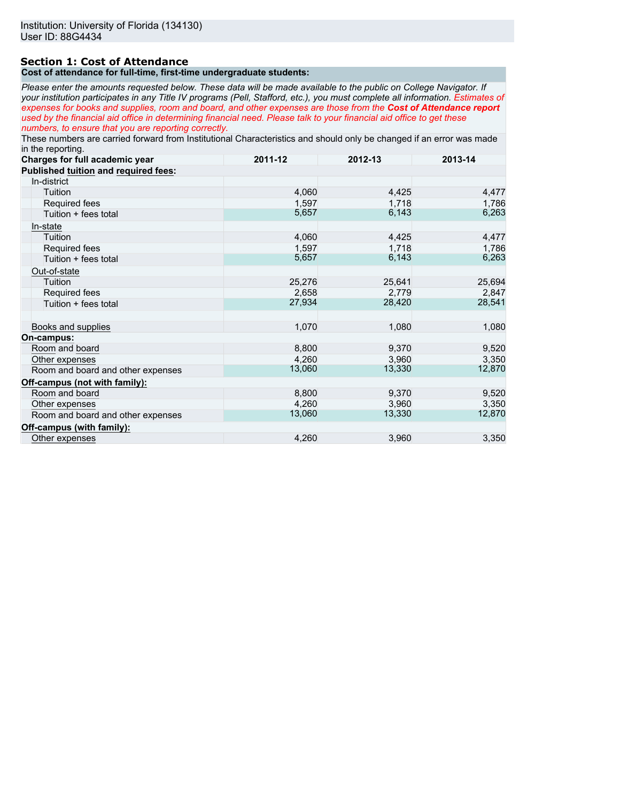# **Section 1: Cost of Attendance**

## **Cost of attendance for full-time, first-time undergraduate students:**

*Please enter the amounts requested below. These data will be made available to the public on College Navigator. If your institution participates in any Title IV programs (Pell, Stafford, etc.), you must complete all information. Estimates of expenses for books and supplies, room and board, and other expenses are those from the Cost of Attendance report used by the financial aid office in determining financial need. Please talk to your financial aid office to get these numbers, to ensure that you are reporting correctly.*

These numbers are carried forward from Institutional Characteristics and should only be changed if an error was made in the reporting.

| Charges for full academic year       | 2011-12 | 2012-13 | 2013-14 |
|--------------------------------------|---------|---------|---------|
| Published tuition and required fees: |         |         |         |
| In-district                          |         |         |         |
| Tuition                              | 4,060   | 4,425   | 4,477   |
| Required fees                        | 1,597   | 1,718   | 1,786   |
| Tuition + fees total                 | 5,657   | 6,143   | 6,263   |
| In-state                             |         |         |         |
| Tuition                              | 4,060   | 4,425   | 4,477   |
| Required fees                        | 1,597   | 1,718   | 1,786   |
| Tuition + fees total                 | 5,657   | 6,143   | 6,263   |
| Out-of-state                         |         |         |         |
| Tuition                              | 25,276  | 25,641  | 25,694  |
| Required fees                        | 2,658   | 2,779   | 2,847   |
| Tuition + fees total                 | 27,934  | 28,420  | 28,541  |
| Books and supplies                   | 1,070   | 1,080   | 1,080   |
| On-campus:                           |         |         |         |
| Room and board                       | 8,800   | 9,370   | 9,520   |
| Other expenses                       | 4,260   | 3,960   | 3,350   |
| Room and board and other expenses    | 13,060  | 13,330  | 12,870  |
| Off-campus (not with family):        |         |         |         |
| Room and board                       | 8,800   | 9,370   | 9,520   |
| Other expenses                       | 4,260   | 3,960   | 3,350   |
| Room and board and other expenses    | 13,060  | 13,330  | 12,870  |
| Off-campus (with family):            |         |         |         |
| Other expenses                       | 4,260   | 3,960   | 3,350   |
|                                      |         |         |         |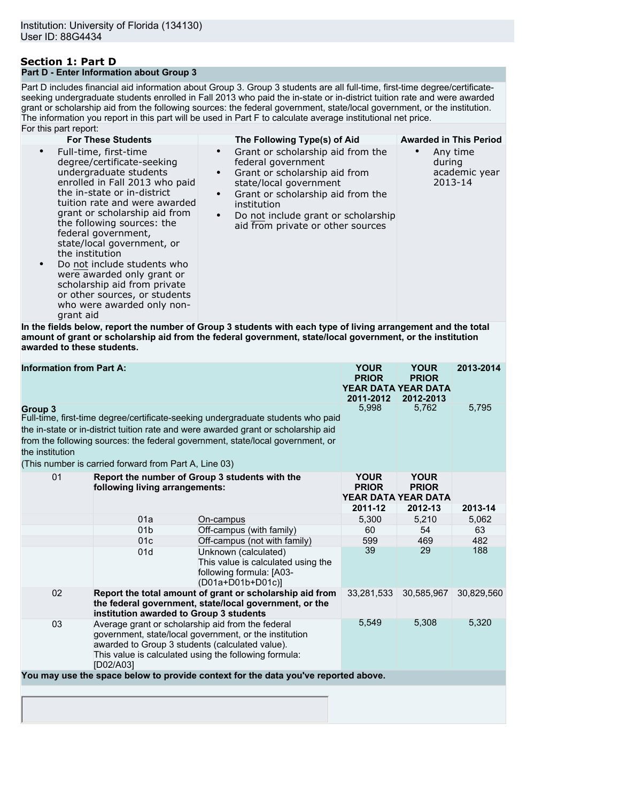## **Section 1: Part D Part D - Enter Information about Group 3**

Part D includes financial aid information about Group 3. Group 3 students are all full-time, first-time degree/certificateseeking undergraduate students enrolled in Fall 2013 who paid the in-state or in-district tuition rate and were awarded grant or scholarship aid from the following sources: the federal government, state/local government, or the institution. The information you report in this part will be used in Part F to calculate average institutional net price. For this part report:

| or and part report.                                                                                                                                                                                                                                                                                                                                                                                                                                                                             |                                                                                                                                                                                                                                                                                           |                                                |
|-------------------------------------------------------------------------------------------------------------------------------------------------------------------------------------------------------------------------------------------------------------------------------------------------------------------------------------------------------------------------------------------------------------------------------------------------------------------------------------------------|-------------------------------------------------------------------------------------------------------------------------------------------------------------------------------------------------------------------------------------------------------------------------------------------|------------------------------------------------|
| <b>For These Students</b>                                                                                                                                                                                                                                                                                                                                                                                                                                                                       | The Following Type(s) of Aid                                                                                                                                                                                                                                                              | <b>Awarded in This Period</b>                  |
| Full-time, first-time<br>degree/certificate-seeking<br>undergraduate students<br>enrolled in Fall 2013 who paid<br>the in-state or in-district<br>tuition rate and were awarded<br>grant or scholarship aid from<br>the following sources: the<br>federal government,<br>state/local government, or<br>the institution<br>Do not include students who<br>were awarded only grant or<br>scholarship aid from private<br>or other sources, or students<br>who were awarded only non-<br>grant aid | Grant or scholarship aid from the<br>$\bullet$<br>federal government<br>Grant or scholarship aid from<br>$\bullet$<br>state/local government<br>Grant or scholarship aid from the<br>institution<br>$\bullet$<br>Do not include grant or scholarship<br>aid from private or other sources | Any time<br>during<br>academic year<br>2013-14 |

**In the fields below, report the number of Group 3 students with each type of living arrangement and the total amount of grant or scholarship aid from the federal government, state/local government, or the institution awarded to these students.**

| <b>Information from Part A:</b>                                                                                                                                                                                                                                                                                                                 |                                |                                                                                                                                                                                                                         | <b>YOUR</b><br><b>PRIOR</b><br>2011-2012 | <b>YOUR</b><br><b>PRIOR</b><br>YEAR DATA YEAR DATA<br>2012-2013 | 2013-2014  |
|-------------------------------------------------------------------------------------------------------------------------------------------------------------------------------------------------------------------------------------------------------------------------------------------------------------------------------------------------|--------------------------------|-------------------------------------------------------------------------------------------------------------------------------------------------------------------------------------------------------------------------|------------------------------------------|-----------------------------------------------------------------|------------|
| Group 3<br>Full-time, first-time degree/certificate-seeking undergraduate students who paid<br>the in-state or in-district tuition rate and were awarded grant or scholarship aid<br>from the following sources: the federal government, state/local government, or<br>the institution<br>(This number is carried forward from Part A, Line 03) |                                |                                                                                                                                                                                                                         |                                          | 5,762                                                           | 5,795      |
| 01                                                                                                                                                                                                                                                                                                                                              | following living arrangements: | Report the number of Group 3 students with the                                                                                                                                                                          | <b>YOUR</b><br><b>PRIOR</b>              | <b>YOUR</b><br><b>PRIOR</b><br>YEAR DATA YEAR DATA              |            |
|                                                                                                                                                                                                                                                                                                                                                 |                                |                                                                                                                                                                                                                         | 2011-12                                  | 2012-13                                                         | 2013-14    |
|                                                                                                                                                                                                                                                                                                                                                 | 01a                            | On-campus                                                                                                                                                                                                               | 5.300                                    | 5,210                                                           | 5,062      |
|                                                                                                                                                                                                                                                                                                                                                 | 01 <sub>b</sub>                | Off-campus (with family)                                                                                                                                                                                                | 60                                       | 54                                                              | 63         |
|                                                                                                                                                                                                                                                                                                                                                 | 01c                            | Off-campus (not with family)                                                                                                                                                                                            | 599                                      | 469                                                             | 482        |
|                                                                                                                                                                                                                                                                                                                                                 | 01d                            | Unknown (calculated)<br>This value is calculated using the<br>following formula: [A03-<br>(D01a+D01b+D01c)]                                                                                                             | 39                                       | 29                                                              | 188        |
| 02                                                                                                                                                                                                                                                                                                                                              |                                | Report the total amount of grant or scholarship aid from<br>the federal government, state/local government, or the<br>institution awarded to Group 3 students                                                           | 33,281,533                               | 30,585,967                                                      | 30,829,560 |
| 03                                                                                                                                                                                                                                                                                                                                              | [D02/A03]                      | Average grant or scholarship aid from the federal<br>government, state/local government, or the institution<br>awarded to Group 3 students (calculated value).<br>This value is calculated using the following formula: | 5,549                                    | 5,308                                                           | 5,320      |
|                                                                                                                                                                                                                                                                                                                                                 |                                | You may use the space below to provide context for the data you've reported above.                                                                                                                                      |                                          |                                                                 |            |
|                                                                                                                                                                                                                                                                                                                                                 |                                |                                                                                                                                                                                                                         |                                          |                                                                 |            |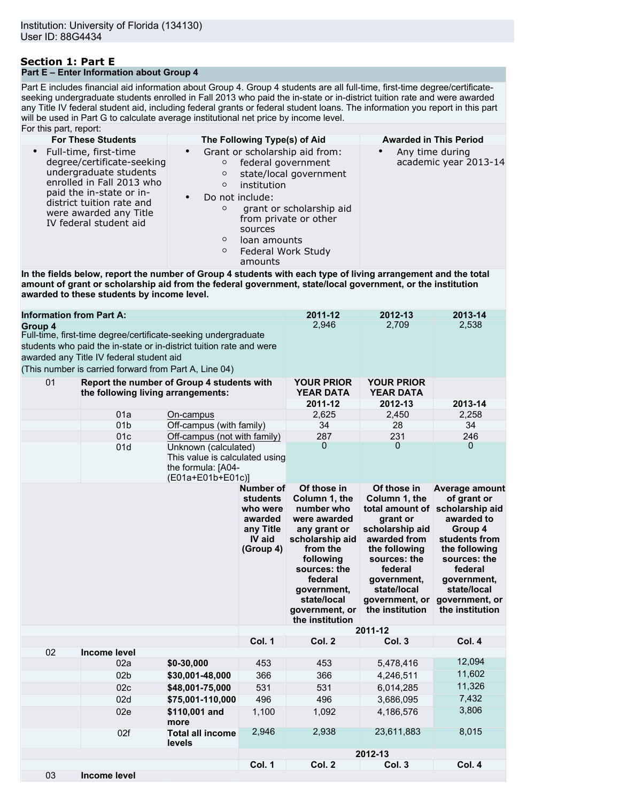## **Section 1: Part E Part E – Enter Information about Group 4**

Part E includes financial aid information about Group 4. Group 4 students are all full-time, first-time degree/certificateseeking undergraduate students enrolled in Fall 2013 who paid the in-state or in-district tuition rate and were awarded any Title IV federal student aid, including federal grants or federal student loans. The information you report in this part will be used in Part G to calculate average institutional net price by income level. For this part, report:

| <b>For These Students</b> |    |                                                                                                                                                                                                                                                                                                                                                                                                                                                        | The Following Type(s) of Aid                                                |                                                                                                                  | <b>Awarded in This Period</b>                                                                                                                                                                                        |                                                                                                                                                                                                       |                                                                                                                                                                                                                                  |
|---------------------------|----|--------------------------------------------------------------------------------------------------------------------------------------------------------------------------------------------------------------------------------------------------------------------------------------------------------------------------------------------------------------------------------------------------------------------------------------------------------|-----------------------------------------------------------------------------|------------------------------------------------------------------------------------------------------------------|----------------------------------------------------------------------------------------------------------------------------------------------------------------------------------------------------------------------|-------------------------------------------------------------------------------------------------------------------------------------------------------------------------------------------------------|----------------------------------------------------------------------------------------------------------------------------------------------------------------------------------------------------------------------------------|
| $\bullet$                 |    | Full-time, first-time<br>degree/certificate-seeking<br>undergraduate students<br>enrolled in Fall 2013 who<br>paid the in-state or in-<br>district tuition rate and<br>were awarded any Title<br>IV federal student aid<br>In the fields below, report the number of Group 4 students with each type of living arrangement and the total<br>amount of grant or scholarship aid from the federal government, state/local government, or the institution | $\bullet$<br>$\circ$<br>$\circ$<br>$\circ$<br>$\circ$<br>$\circ$<br>$\circ$ | federal government<br>institution<br>Do not include:<br>sources<br>loan amounts<br>Federal Work Study<br>amounts | Grant or scholarship aid from:<br>state/local government<br>grant or scholarship aid<br>from private or other                                                                                                        | $\bullet$                                                                                                                                                                                             | Any time during<br>academic year 2013-14                                                                                                                                                                                         |
|                           |    | awarded to these students by income level.                                                                                                                                                                                                                                                                                                                                                                                                             |                                                                             |                                                                                                                  |                                                                                                                                                                                                                      |                                                                                                                                                                                                       |                                                                                                                                                                                                                                  |
| Group 4                   |    | <b>Information from Part A:</b><br>Full-time, first-time degree/certificate-seeking undergraduate<br>students who paid the in-state or in-district tuition rate and were<br>awarded any Title IV federal student aid<br>(This number is carried forward from Part A, Line 04)                                                                                                                                                                          |                                                                             |                                                                                                                  | 2011-12<br>2,946                                                                                                                                                                                                     | 2012-13<br>2,709                                                                                                                                                                                      | 2013-14<br>2,538                                                                                                                                                                                                                 |
|                           | 01 | Report the number of Group 4 students with                                                                                                                                                                                                                                                                                                                                                                                                             |                                                                             |                                                                                                                  | <b>YOUR PRIOR</b>                                                                                                                                                                                                    | <b>YOUR PRIOR</b>                                                                                                                                                                                     |                                                                                                                                                                                                                                  |
|                           |    | the following living arrangements:                                                                                                                                                                                                                                                                                                                                                                                                                     |                                                                             |                                                                                                                  | <b>YEAR DATA</b>                                                                                                                                                                                                     | <b>YEAR DATA</b>                                                                                                                                                                                      |                                                                                                                                                                                                                                  |
|                           |    |                                                                                                                                                                                                                                                                                                                                                                                                                                                        |                                                                             |                                                                                                                  | 2011-12                                                                                                                                                                                                              | 2012-13                                                                                                                                                                                               | 2013-14                                                                                                                                                                                                                          |
|                           |    | 01a                                                                                                                                                                                                                                                                                                                                                                                                                                                    | On-campus                                                                   |                                                                                                                  | 2,625                                                                                                                                                                                                                | 2,450                                                                                                                                                                                                 | 2,258                                                                                                                                                                                                                            |
|                           |    | 01 <sub>b</sub>                                                                                                                                                                                                                                                                                                                                                                                                                                        | Off-campus (with family)                                                    |                                                                                                                  | 34                                                                                                                                                                                                                   | 28                                                                                                                                                                                                    | 34                                                                                                                                                                                                                               |
|                           |    | 01c                                                                                                                                                                                                                                                                                                                                                                                                                                                    | Off-campus (not with family)                                                |                                                                                                                  | 287                                                                                                                                                                                                                  | 231                                                                                                                                                                                                   | 246                                                                                                                                                                                                                              |
|                           |    | Unknown (calculated)<br>01d<br>This value is calculated using<br>the formula: [A04-<br>(E01a+E01b+E01c)]                                                                                                                                                                                                                                                                                                                                               |                                                                             |                                                                                                                  | 0                                                                                                                                                                                                                    | 0                                                                                                                                                                                                     | 0                                                                                                                                                                                                                                |
|                           |    |                                                                                                                                                                                                                                                                                                                                                                                                                                                        |                                                                             | Number of<br>students<br>who were<br>awarded<br>any Title<br>IV aid<br>(Group 4)                                 | Of those in<br>Column 1, the<br>number who<br>were awarded<br>any grant or<br>scholarship aid<br>from the<br>following<br>sources: the<br>federal<br>government,<br>state/local<br>government, or<br>the institution | Of those in<br>Column 1, the<br>grant or<br>scholarship aid<br>awarded from<br>the following<br>sources: the<br>federal<br>government,<br>state/local<br>government, or<br>the institution<br>2011-12 | <b>Average amount</b><br>of grant or<br>total amount of scholarship aid<br>awarded to<br>Group 4<br>students from<br>the following<br>sources: the<br>federal<br>government,<br>state/local<br>government, or<br>the institution |
|                           |    |                                                                                                                                                                                                                                                                                                                                                                                                                                                        |                                                                             | Col. 1                                                                                                           | Col. 2                                                                                                                                                                                                               | Col. 3                                                                                                                                                                                                | Col. 4                                                                                                                                                                                                                           |
|                           | 02 | <b>Income level</b>                                                                                                                                                                                                                                                                                                                                                                                                                                    |                                                                             |                                                                                                                  |                                                                                                                                                                                                                      |                                                                                                                                                                                                       |                                                                                                                                                                                                                                  |
|                           |    | 02a                                                                                                                                                                                                                                                                                                                                                                                                                                                    | \$0-30,000                                                                  | 453                                                                                                              | 453                                                                                                                                                                                                                  | 5,478,416                                                                                                                                                                                             | 12,094                                                                                                                                                                                                                           |
|                           |    | 02 <sub>b</sub>                                                                                                                                                                                                                                                                                                                                                                                                                                        | \$30,001-48,000                                                             | 366                                                                                                              | 366                                                                                                                                                                                                                  | 4,246,511                                                                                                                                                                                             | 11,602                                                                                                                                                                                                                           |
|                           |    | 02c                                                                                                                                                                                                                                                                                                                                                                                                                                                    | \$48,001-75,000                                                             | 531                                                                                                              | 531                                                                                                                                                                                                                  | 6,014,285                                                                                                                                                                                             | 11,326                                                                                                                                                                                                                           |
|                           |    |                                                                                                                                                                                                                                                                                                                                                                                                                                                        | \$75,001-110,000                                                            |                                                                                                                  |                                                                                                                                                                                                                      |                                                                                                                                                                                                       | 7,432                                                                                                                                                                                                                            |
|                           |    | 02d                                                                                                                                                                                                                                                                                                                                                                                                                                                    |                                                                             | 496                                                                                                              | 496                                                                                                                                                                                                                  | 3,686,095                                                                                                                                                                                             |                                                                                                                                                                                                                                  |
|                           |    | 02e                                                                                                                                                                                                                                                                                                                                                                                                                                                    | \$110,001 and<br>more                                                       | 1,100<br>2,946                                                                                                   | 1,092<br>2,938                                                                                                                                                                                                       | 4,186,576<br>23,611,883                                                                                                                                                                               | 3,806<br>8,015                                                                                                                                                                                                                   |
|                           |    | 02f                                                                                                                                                                                                                                                                                                                                                                                                                                                    | <b>Total all income</b><br>levels                                           |                                                                                                                  |                                                                                                                                                                                                                      | 2012-13                                                                                                                                                                                               |                                                                                                                                                                                                                                  |
|                           |    |                                                                                                                                                                                                                                                                                                                                                                                                                                                        |                                                                             | <b>Col. 1</b>                                                                                                    | Col. 2                                                                                                                                                                                                               | Col. 3                                                                                                                                                                                                | Col. 4                                                                                                                                                                                                                           |
|                           |    |                                                                                                                                                                                                                                                                                                                                                                                                                                                        |                                                                             |                                                                                                                  |                                                                                                                                                                                                                      |                                                                                                                                                                                                       |                                                                                                                                                                                                                                  |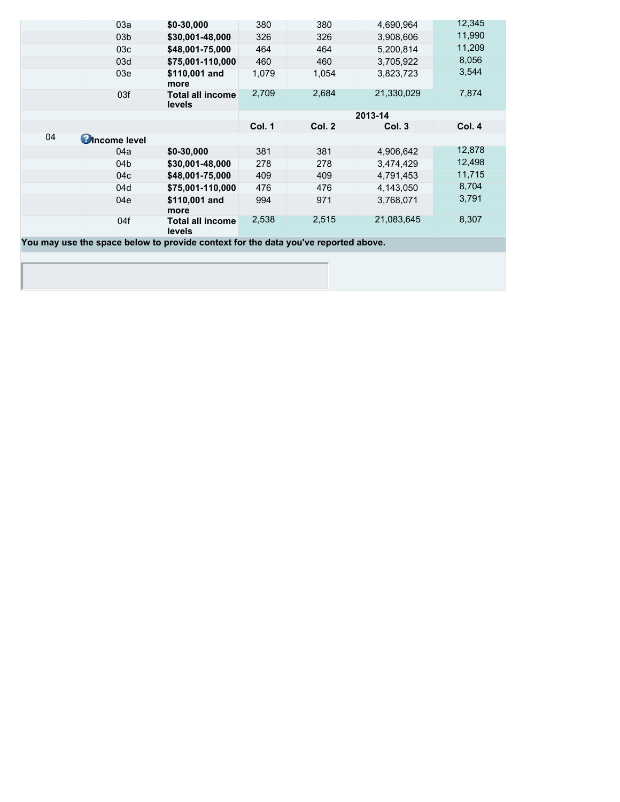|    | 03a                   | \$0-30,000                                                                         | 380    | 380    | 4,690,964  | 12,345 |
|----|-----------------------|------------------------------------------------------------------------------------|--------|--------|------------|--------|
|    | 03 <sub>b</sub>       | \$30,001-48,000                                                                    | 326    | 326    | 3,908,606  | 11,990 |
|    | 03 <sub>c</sub>       | \$48,001-75,000                                                                    | 464    | 464    | 5,200,814  | 11,209 |
|    | 03d                   | \$75,001-110,000                                                                   | 460    | 460    | 3,705,922  | 8,056  |
|    | 03e                   | \$110,001 and<br>more                                                              | 1,079  | 1,054  | 3,823,723  | 3,544  |
|    | 03f                   | <b>Total all income</b><br>levels                                                  | 2,709  | 2,684  | 21,330,029 | 7,874  |
|    |                       |                                                                                    |        |        | 2013-14    |        |
|    |                       |                                                                                    | Col. 1 | Col. 2 | Col. 3     | Col. 4 |
| 04 | <b>C</b> Income level |                                                                                    |        |        |            |        |
|    | 04a                   | $$0-30,000$                                                                        | 381    | 381    | 4,906,642  | 12,878 |
|    | 04b                   | \$30,001-48,000                                                                    | 278    | 278    | 3,474,429  | 12,498 |
|    | 04c                   | \$48,001-75,000                                                                    | 409    | 409    | 4,791,453  | 11,715 |
|    | 04d                   | \$75,001-110,000                                                                   | 476    | 476    | 4,143,050  | 8,704  |
|    | 04e                   | \$110,001 and<br>more                                                              | 994    | 971    | 3,768,071  | 3,791  |
|    | 04f                   | <b>Total all income</b><br>levels                                                  | 2,538  | 2,515  | 21,083,645 | 8,307  |
|    |                       | You may use the space below to provide context for the data you've reported above. |        |        |            |        |
|    |                       |                                                                                    |        |        |            |        |
|    |                       |                                                                                    |        |        |            |        |
|    |                       |                                                                                    |        |        |            |        |

I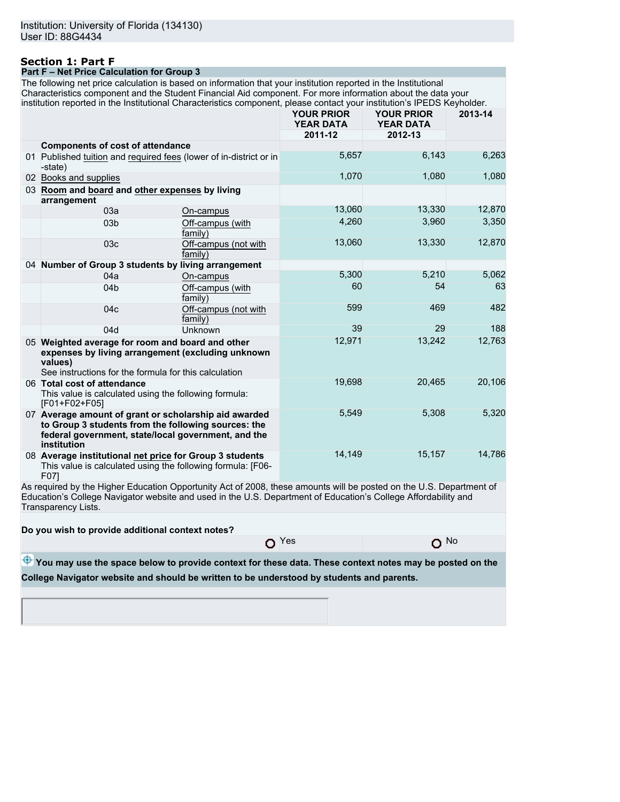#### **Section 1: Part F Part F – Net Price Calculation for Group 3**

The following net price calculation is based on information that your institution reported in the Institutional Characteristics component and the Student Financial Aid component. For more information about the data your institution reported in the Institutional Characteristics component, please contact your institution's IPEDS Keyholder.

| notion reported in the motionolial endrablenoliae component, picace contact year motitation o in EBO Reynolder.                                                                    |                                 | <b>YOUR PRIOR</b><br><b>YEAR DATA</b><br>2011-12 | <b>YOUR PRIOR</b><br><b>YEAR DATA</b><br>2012-13 | 2013-14 |
|------------------------------------------------------------------------------------------------------------------------------------------------------------------------------------|---------------------------------|--------------------------------------------------|--------------------------------------------------|---------|
| <b>Components of cost of attendance</b>                                                                                                                                            |                                 |                                                  |                                                  |         |
| 01 Published tuition and required fees (lower of in-district or in<br>-state)                                                                                                      |                                 | 5,657                                            | 6,143                                            | 6,263   |
| 02 Books and supplies                                                                                                                                                              |                                 | 1,070                                            | 1,080                                            | 1,080   |
| 03 Room and board and other expenses by living<br>arrangement                                                                                                                      |                                 |                                                  |                                                  |         |
| 03a                                                                                                                                                                                | On-campus                       | 13,060                                           | 13,330                                           | 12,870  |
| 03 <sub>b</sub>                                                                                                                                                                    | Off-campus (with<br>family)     | 4.260                                            | 3,960                                            | 3,350   |
| 03 <sub>c</sub>                                                                                                                                                                    | Off-campus (not with<br>family) | 13,060                                           | 13,330                                           | 12,870  |
| 04 Number of Group 3 students by living arrangement                                                                                                                                |                                 |                                                  |                                                  |         |
| 04a                                                                                                                                                                                | On-campus                       | 5,300                                            | 5,210                                            | 5,062   |
| 04 <sub>b</sub>                                                                                                                                                                    | Off-campus (with<br>family)     | 60                                               | 54                                               | 63      |
| 04 <sub>c</sub>                                                                                                                                                                    | Off-campus (not with<br>family) | 599                                              | 469                                              | 482     |
| 04d                                                                                                                                                                                | Unknown                         | 39                                               | 29                                               | 188     |
| 05 Weighted average for room and board and other<br>expenses by living arrangement (excluding unknown<br>values)<br>See instructions for the formula for this calculation          |                                 | 12,971                                           | 13,242                                           | 12,763  |
| 06 Total cost of attendance<br>This value is calculated using the following formula:<br>[F01+F02+F05]                                                                              |                                 | 19,698                                           | 20,465                                           | 20,106  |
| 07 Average amount of grant or scholarship aid awarded<br>to Group 3 students from the following sources: the<br>federal government, state/local government, and the<br>institution |                                 | 5,549                                            | 5,308                                            | 5,320   |
| 08 Average institutional net price for Group 3 students<br>This value is calculated using the following formula: [F06-<br>F071                                                     |                                 | 14,149                                           | 15,157                                           | 14,786  |

As required by the Higher Education Opportunity Act of 2008, these amounts will be posted on the U.S. Department of Education's College Navigator website and used in the U.S. Department of Education's College Affordability and Transparency Lists.

**Do you wish to provide additional context notes?**

 $O$  Yes  $O$  No

**<sup>4</sup>** You may use the space below to provide context for these data. These context notes may be posted on the **College Navigator website and should be written to be understood by students and parents.**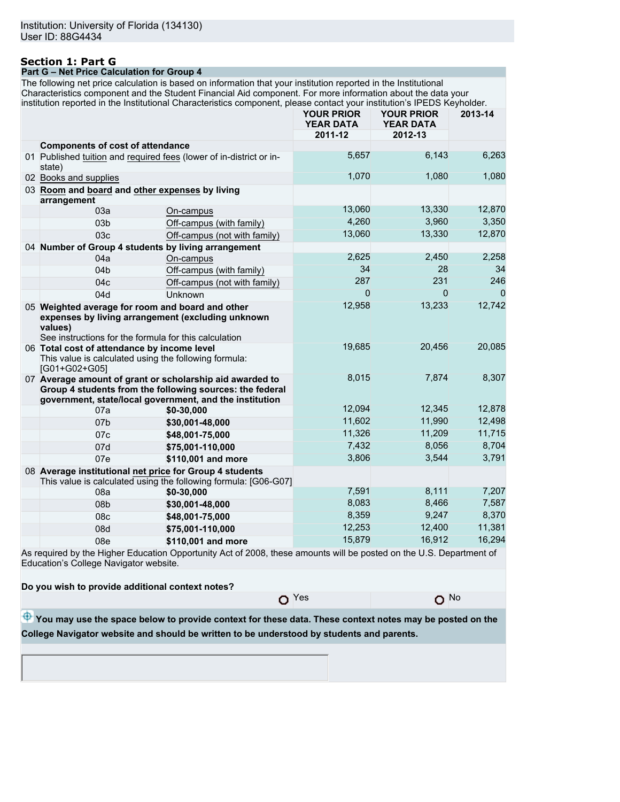# **Section 1: Part G**

**Part G – Net Price Calculation for Group 4**

The following net price calculation is based on information that your institution reported in the Institutional Characteristics component and the Student Financial Aid component. For more information about the data your institution reported in the Institutional Characteristics component, please contact your institution's IPEDS Keyholder.

|                                                                                                                                                                           |                                                                                                                                                                                 | <b>YOUR PRIOR</b><br><b>YEAR DATA</b> | <b>YOUR PRIOR</b><br><b>YEAR DATA</b> | 2013-14 |
|---------------------------------------------------------------------------------------------------------------------------------------------------------------------------|---------------------------------------------------------------------------------------------------------------------------------------------------------------------------------|---------------------------------------|---------------------------------------|---------|
|                                                                                                                                                                           |                                                                                                                                                                                 | 2011-12                               | 2012-13                               |         |
| <b>Components of cost of attendance</b>                                                                                                                                   |                                                                                                                                                                                 |                                       |                                       |         |
| state)                                                                                                                                                                    | 01 Published tuition and required fees (lower of in-district or in-                                                                                                             | 5,657                                 | 6,143                                 | 6,263   |
| 02 Books and supplies                                                                                                                                                     |                                                                                                                                                                                 | 1,070                                 | 1,080                                 | 1,080   |
| 03 Room and board and other expenses by living<br>arrangement                                                                                                             |                                                                                                                                                                                 |                                       |                                       |         |
| 03a                                                                                                                                                                       | On-campus                                                                                                                                                                       | 13,060                                | 13,330                                | 12,870  |
| 03 <sub>b</sub>                                                                                                                                                           | Off-campus (with family)                                                                                                                                                        | 4,260                                 | 3,960                                 | 3,350   |
| 03c                                                                                                                                                                       | Off-campus (not with family)                                                                                                                                                    | 13,060                                | 13,330                                | 12,870  |
| 04 Number of Group 4 students by living arrangement                                                                                                                       |                                                                                                                                                                                 |                                       |                                       |         |
| 04a                                                                                                                                                                       | On-campus                                                                                                                                                                       | 2,625                                 | 2,450                                 | 2,258   |
| 04 <sub>b</sub>                                                                                                                                                           | Off-campus (with family)                                                                                                                                                        | 34                                    | 28                                    | 34      |
| 04 <sub>c</sub>                                                                                                                                                           | Off-campus (not with family)                                                                                                                                                    | 287                                   | 231                                   | 246     |
| 04d                                                                                                                                                                       | Unknown                                                                                                                                                                         | $\Omega$                              | $\Omega$                              | 0       |
| 05 Weighted average for room and board and other<br>expenses by living arrangement (excluding unknown<br>values)<br>See instructions for the formula for this calculation |                                                                                                                                                                                 | 12,958                                | 13,233                                | 12,742  |
| 06 Total cost of attendance by income level<br>This value is calculated using the following formula:<br>[G01+G02+G05]                                                     |                                                                                                                                                                                 | 19,685                                | 20,456                                | 20,085  |
|                                                                                                                                                                           | 07 Average amount of grant or scholarship aid awarded to<br>Group 4 students from the following sources: the federal<br>government, state/local government, and the institution | 8,015                                 | 7,874                                 | 8,307   |
| 07a                                                                                                                                                                       | \$0-30,000                                                                                                                                                                      | 12,094                                | 12,345                                | 12,878  |
| 07b                                                                                                                                                                       | \$30,001-48,000                                                                                                                                                                 | 11,602                                | 11,990                                | 12,498  |
| 07c                                                                                                                                                                       | \$48,001-75,000                                                                                                                                                                 | 11,326                                | 11,209                                | 11,715  |
| 07d                                                                                                                                                                       | \$75,001-110,000                                                                                                                                                                | 7,432                                 | 8,056                                 | 8,704   |
| 07e                                                                                                                                                                       | \$110,001 and more                                                                                                                                                              | 3,806                                 | 3,544                                 | 3,791   |
| 08 Average institutional net price for Group 4 students                                                                                                                   | This value is calculated using the following formula: [G06-G07]                                                                                                                 |                                       |                                       |         |
| 08a                                                                                                                                                                       | \$0-30,000                                                                                                                                                                      | 7,591                                 | 8,111                                 | 7,207   |
| 08b                                                                                                                                                                       | \$30,001-48,000                                                                                                                                                                 | 8,083                                 | 8,466                                 | 7,587   |
| 08c                                                                                                                                                                       | \$48,001-75,000                                                                                                                                                                 | 8,359                                 | 9,247                                 | 8,370   |
| 08d                                                                                                                                                                       | \$75,001-110,000                                                                                                                                                                | 12,253                                | 12,400                                | 11,381  |
| 08e                                                                                                                                                                       | \$110,001 and more                                                                                                                                                              | 15,879                                | 16,912                                | 16,294  |
| Education's College Navigator website.                                                                                                                                    | As required by the Higher Education Opportunity Act of 2008, these amounts will be posted on the U.S. Department of                                                             |                                       |                                       |         |
| Do you wish to provide additional context notes?                                                                                                                          |                                                                                                                                                                                 |                                       |                                       |         |
|                                                                                                                                                                           |                                                                                                                                                                                 | $O$ Yes                               | O No                                  |         |

 $\bigoplus$  You may use the space below to provide context for these data. These context notes may be posted on the **College Navigator website and should be written to be understood by students and parents.**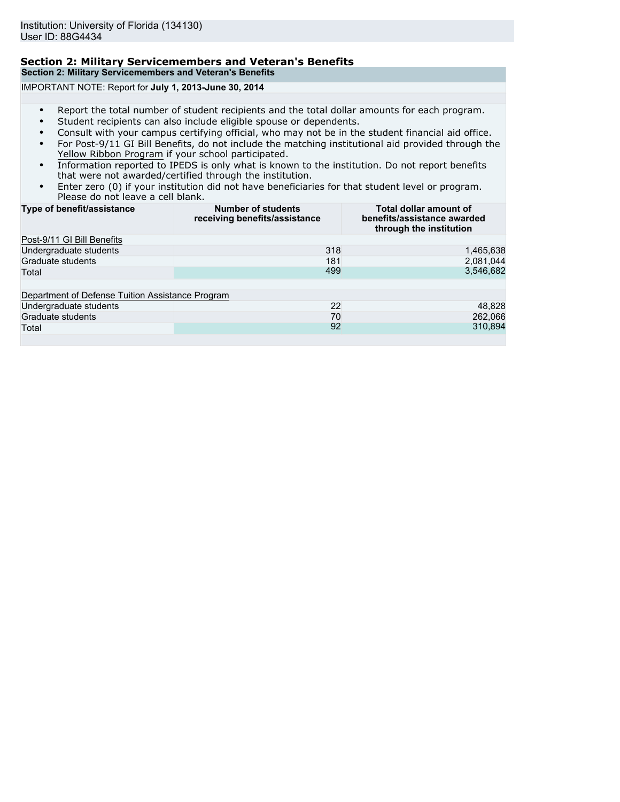## **Section 2: Military Servicemembers and Veteran's Benefits Section 2: Military Servicemembers and Veteran's Benefits**

IMPORTANT NOTE: Report for **July 1, 2013-June 30, 2014**

- Report the total number of student recipients and the total dollar amounts for each program.
- Student recipients can also include eligible spouse or dependents.
- Consult with your campus certifying official, who may not be in the student financial aid office.
- For Post-9/11 GI Bill Benefits, do not include the matching institutional aid provided through the Yellow Ribbon Program if your school participated.
- Information reported to IPEDS is only what is known to the institution. Do not report benefits that were not awarded/certified through the institution.
- Enter zero (0) if your institution did not have beneficiaries for that student level or program. Please do not leave a cell blank.

| Type of benefit/assistance                       | <b>Number of students</b><br>receiving benefits/assistance | Total dollar amount of<br>benefits/assistance awarded<br>through the institution |
|--------------------------------------------------|------------------------------------------------------------|----------------------------------------------------------------------------------|
| Post-9/11 GI Bill Benefits                       |                                                            |                                                                                  |
| Undergraduate students                           | 318                                                        | 1,465,638                                                                        |
| Graduate students                                | 181                                                        | 2,081,044                                                                        |
| Total                                            | 499                                                        | 3,546,682                                                                        |
| Department of Defense Tuition Assistance Program |                                                            |                                                                                  |
| Undergraduate students                           | 22                                                         | 48,828                                                                           |
| Graduate students                                | 70                                                         | 262,066                                                                          |
| Total                                            | 92                                                         | 310,894                                                                          |
|                                                  |                                                            |                                                                                  |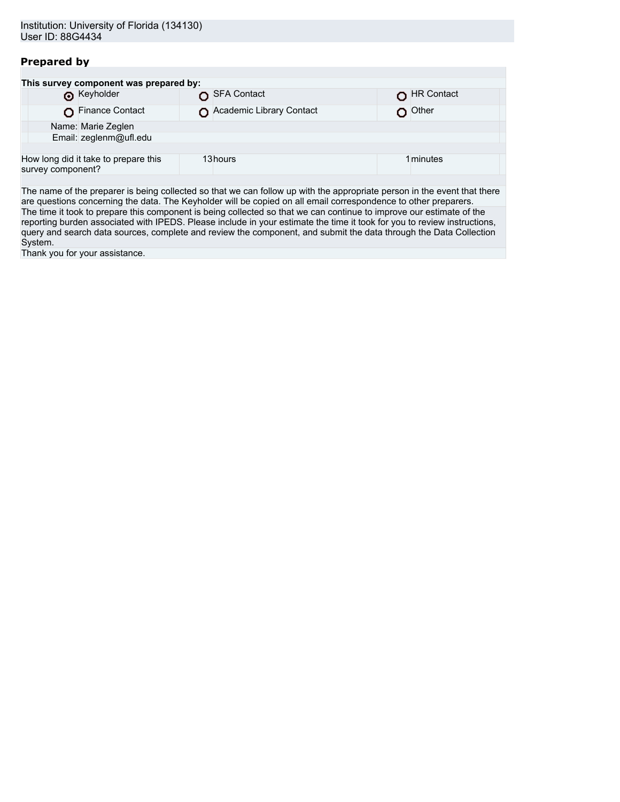## **Prepared by**

|                   | This survey component was prepared by: |                          |            |
|-------------------|----------------------------------------|--------------------------|------------|
|                   | <b>6</b> Keyholder                     | SFA Contact              | HR Contact |
|                   | Finance Contact                        | Academic Library Contact | Other      |
|                   | Name: Marie Zeglen                     |                          |            |
|                   | Email: zeglenm@ufl.edu                 |                          |            |
|                   |                                        |                          |            |
| survey component? | How long did it take to prepare this   | 13hours                  | 1 minutes  |
|                   |                                        |                          |            |

The name of the preparer is being collected so that we can follow up with the appropriate person in the event that there are questions concerning the data. The Keyholder will be copied on all email correspondence to other preparers. The time it took to prepare this component is being collected so that we can continue to improve our estimate of the reporting burden associated with IPEDS. Please include in your estimate the time it took for you to review instructions, query and search data sources, complete and review the component, and submit the data through the Data Collection System.

Thank you for your assistance.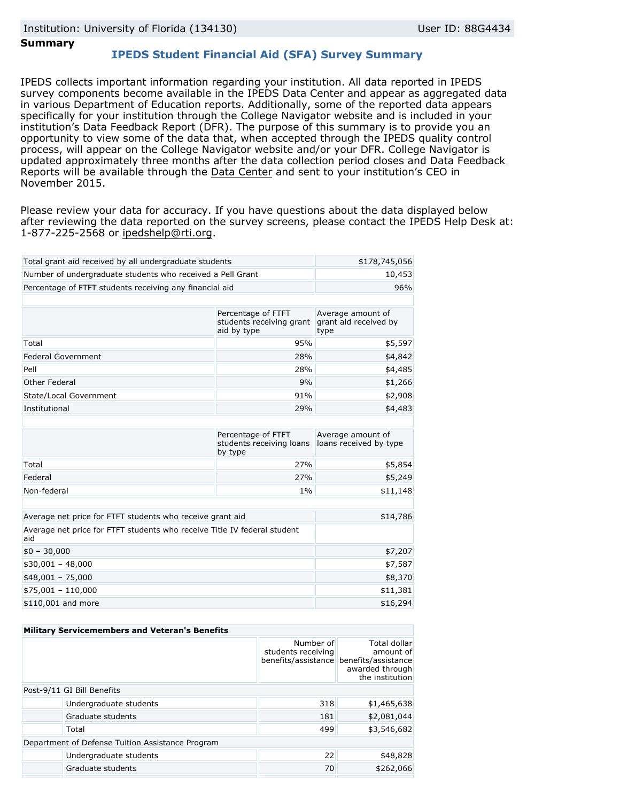### **Summary**

## **IPEDS Student Financial Aid (SFA) Survey Summary**

IPEDS collects important information regarding your institution. All data reported in IPEDS survey components become available in the IPEDS Data Center and appear as aggregated data in various Department of Education reports. Additionally, some of the reported data appears specifically for your institution through the College Navigator website and is included in your institution's Data Feedback Report (DFR). The purpose of this summary is to provide you an opportunity to view some of the data that, when accepted through the IPEDS quality control process, will appear on the College Navigator website and/or your DFR. College Navigator is updated approximately three months after the data collection period closes and Data Feedback Reports will be available through the [Data Center](http://nces.ed.gov/ipeds/datacenter/) and sent to your institution's CEO in November 2015.

Please review your data for accuracy. If you have questions about the data displayed below after reviewing the data reported on the survey screens, please contact the IPEDS Help Desk at: 1-877-225-2568 or ipedshelp@rti.org.

| Total grant aid received by all undergraduate students                          | \$178,745,056                                                 |                                                    |  |  |  |
|---------------------------------------------------------------------------------|---------------------------------------------------------------|----------------------------------------------------|--|--|--|
| Number of undergraduate students who received a Pell Grant                      | 10,453                                                        |                                                    |  |  |  |
| Percentage of FTFT students receiving any financial aid                         |                                                               | 96%                                                |  |  |  |
|                                                                                 |                                                               |                                                    |  |  |  |
|                                                                                 | Percentage of FTFT<br>students receiving grant<br>aid by type | Average amount of<br>grant aid received by<br>type |  |  |  |
| Total                                                                           | 95%                                                           | \$5,597                                            |  |  |  |
| Federal Government                                                              | 28%                                                           | \$4,842                                            |  |  |  |
| Pell                                                                            | 28%                                                           | \$4,485                                            |  |  |  |
| Other Federal                                                                   | 9%                                                            | \$1,266                                            |  |  |  |
| State/Local Government                                                          | 91%                                                           | \$2,908                                            |  |  |  |
| Institutional<br>29%                                                            |                                                               | \$4,483                                            |  |  |  |
|                                                                                 |                                                               |                                                    |  |  |  |
|                                                                                 | Percentage of FTFT<br>students receiving loans<br>by type     | Average amount of<br>loans received by type        |  |  |  |
| Total                                                                           | 27%                                                           | \$5,854                                            |  |  |  |
| Federal                                                                         | 27%                                                           | \$5,249                                            |  |  |  |
| Non-federal                                                                     | $1\%$                                                         | \$11,148                                           |  |  |  |
|                                                                                 |                                                               |                                                    |  |  |  |
| Average net price for FTFT students who receive grant aid                       |                                                               | \$14,786                                           |  |  |  |
| Average net price for FTFT students who receive Title IV federal student<br>aid |                                                               |                                                    |  |  |  |
| $$0 - 30,000$                                                                   | \$7,207                                                       |                                                    |  |  |  |
| $$30,001 - 48,000$                                                              | \$7,587                                                       |                                                    |  |  |  |
| $$48,001 - 75,000$                                                              | \$8,370                                                       |                                                    |  |  |  |
| $$75,001 - 110,000$                                                             | \$11,381                                                      |                                                    |  |  |  |
| \$110,001 and more                                                              | \$16,294                                                      |                                                    |  |  |  |

| <b>Military Servicemembers and Veteran's Benefits</b> |                                                                                                            |  |  |  |  |
|-------------------------------------------------------|------------------------------------------------------------------------------------------------------------|--|--|--|--|
|                                                       | Total dollar<br>amount of<br>benefits/assistance benefits/assistance<br>awarded through<br>the institution |  |  |  |  |
| Post-9/11 GI Bill Benefits                            |                                                                                                            |  |  |  |  |
| 318                                                   | \$1,465,638                                                                                                |  |  |  |  |
| 181                                                   | \$2,081,044                                                                                                |  |  |  |  |
| 499                                                   | \$3,546,682                                                                                                |  |  |  |  |
| Department of Defense Tuition Assistance Program      |                                                                                                            |  |  |  |  |
| 22                                                    | \$48,828                                                                                                   |  |  |  |  |
| 70                                                    | \$262,066                                                                                                  |  |  |  |  |
|                                                       | Number of<br>students receiving                                                                            |  |  |  |  |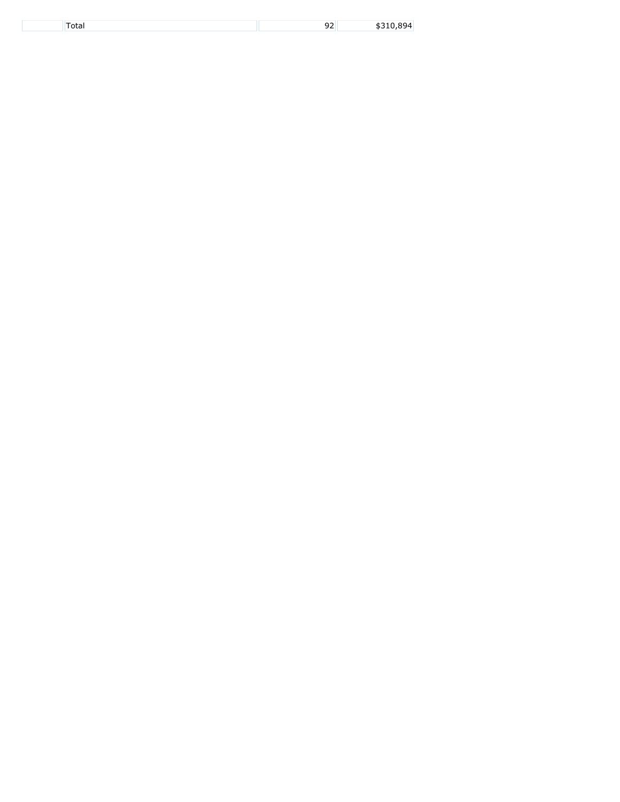| -- |  |
|----|--|